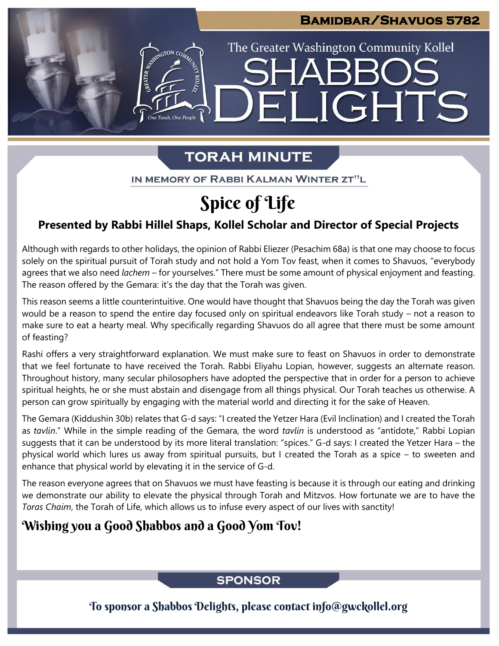# **Bamidbar/Shavuos 5782**

The Greater Washington Community Kollel

ELIGHTS

# **TORAH MINUTE**

IN MEMORY OF RABBI KALMAN WINTER ZT"L

# Spice of Life

# **Presented by Rabbi Hillel Shaps, Kollel Scholar and Director of Special Projects**

Although with regards to other holidays, the opinion of Rabbi Eliezer (Pesachim 68a) is that one may choose to focus solely on the spiritual pursuit of Torah study and not hold a Yom Tov feast, when it comes to Shavuos, "everybody agrees that we also need *lachem –* for yourselves." There must be some amount of physical enjoyment and feasting. The reason offered by the Gemara: it's the day that the Torah was given.

This reason seems a little counterintuitive. One would have thought that Shavuos being the day the Torah was given would be a reason to spend the entire day focused only on spiritual endeavors like Torah study – not a reason to make sure to eat a hearty meal. Why specifically regarding Shavuos do all agree that there must be some amount of feasting?

Rashi offers a very straightforward explanation. We must make sure to feast on Shavuos in order to demonstrate that we feel fortunate to have received the Torah. Rabbi Eliyahu Lopian, however, suggests an alternate reason. Throughout history, many secular philosophers have adopted the perspective that in order for a person to achieve spiritual heights, he or she must abstain and disengage from all things physical. Our Torah teaches us otherwise. A person can grow spiritually by engaging with the material world and directing it for the sake of Heaven.

The Gemara (Kiddushin 30b) relates that G-d says: "I created the Yetzer Hara (Evil Inclination) and I created the Torah as *tavlin*." While in the simple reading of the Gemara, the word *tavlin* is understood as "antidote," Rabbi Lopian suggests that it can be understood by its more literal translation: "spices." G-d says: I created the Yetzer Hara – the physical world which lures us away from spiritual pursuits, but I created the Torah as a spice – to sweeten and enhance that physical world by elevating it in the service of G-d.

The reason everyone agrees that on Shavuos we must have feasting is because it is through our eating and drinking we demonstrate our ability to elevate the physical through Torah and Mitzvos. How fortunate we are to have the *Toras Chaim*, the Torah of Life, which allows us to infuse every aspect of our lives with sanctity!

# Wishing you a Good Shabbos and a Good Yom Tov!

## **SPONSOR**

To sponsor a Shabbos Delights, please contact info@gwckollel.org